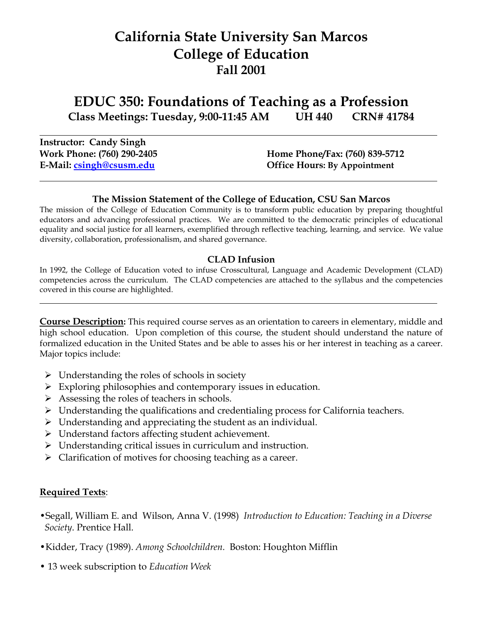# **California State University San Marcos College of Education Fall 2001**

**EDUC 350: Foundations of Teaching as a Profession Class Meetings: Tuesday, 9:00-11:45 AM UH 440 CRN# 41784**

**Instructor: Candy Singh**

**Work Phone: (760) 290-2405 Home Phone/Fax: (760) 839-5712 E-Mail: [csingh@csusm.edu](mailto:csingh@sdcoe.k12.ca.us) Office Hours: By Appointment**

#### **The Mission Statement of the College of Education, CSU San Marcos**

The mission of the College of Education Community is to transform public education by preparing thoughtful educators and advancing professional practices. We are committed to the democratic principles of educational equality and social justice for all learners, exemplified through reflective teaching, learning, and service. We value diversity, collaboration, professionalism, and shared governance.

#### **CLAD Infusion**

In 1992, the College of Education voted to infuse Crosscultural, Language and Academic Development (CLAD) competencies across the curriculum. The CLAD competencies are attached to the syllabus and the competencies covered in this course are highlighted.

**Course Description:** This required course serves as an orientation to careers in elementary, middle and high school education. Upon completion of this course, the student should understand the nature of formalized education in the United States and be able to asses his or her interest in teaching as a career. Major topics include:

- $\triangleright$  Understanding the roles of schools in society
- $\triangleright$  Exploring philosophies and contemporary issues in education.
- $\triangleright$  Assessing the roles of teachers in schools.
- Understanding the qualifications and credentialing process for California teachers.
- $\triangleright$  Understanding and appreciating the student as an individual.
- Understand factors affecting student achievement.
- $\triangleright$  Understanding critical issues in curriculum and instruction.
- $\triangleright$  Clarification of motives for choosing teaching as a career.

#### **Required Texts**:

- •Segall, William E. and Wilson, Anna V. (1998) *Introduction to Education: Teaching in a Diverse Society*. Prentice Hall.
- •Kidder, Tracy (1989). *Among Schoolchildren.* Boston: Houghton Mifflin
- 13 week subscription to *Education Week*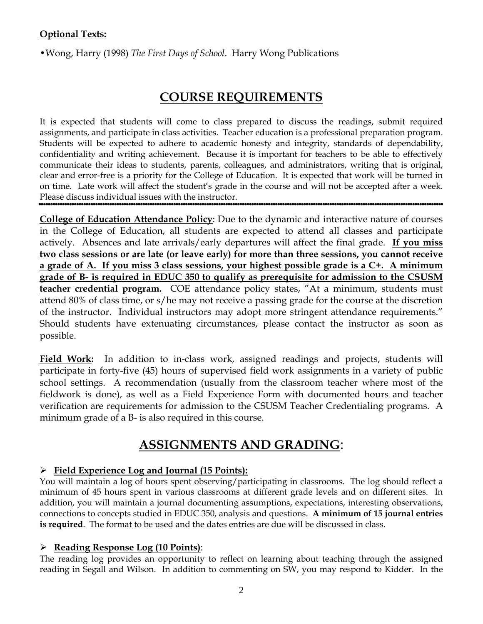#### **Optional Texts:**

•Wong, Harry (1998) *The First Days of School*. Harry Wong Publications

## **COURSE REQUIREMENTS**

It is expected that students will come to class prepared to discuss the readings, submit required assignments, and participate in class activities. Teacher education is a professional preparation program. Students will be expected to adhere to academic honesty and integrity, standards of dependability, confidentiality and writing achievement. Because it is important for teachers to be able to effectively communicate their ideas to students, parents, colleagues, and administrators, writing that is original, clear and error-free is a priority for the College of Education. It is expected that work will be turned in on time. Late work will affect the student's grade in the course and will not be accepted after a week. Please discuss individual issues with the instructor.

**College of Education Attendance Policy**: Due to the dynamic and interactive nature of courses in the College of Education, all students are expected to attend all classes and participate actively. Absences and late arrivals/early departures will affect the final grade. **If you miss two class sessions or are late (or leave early) for more than three sessions, you cannot receive a grade of A. If you miss 3 class sessions, your highest possible grade is a C+. A minimum grade of B- is required in EDUC 350 to qualify as prerequisite for admission to the CSUSM**  teacher credential program. COE attendance policy states, "At a minimum, students must attend 80% of class time, or s/he may not receive a passing grade for the course at the discretion of the instructor. Individual instructors may adopt more stringent attendance requirements." Should students have extenuating circumstances, please contact the instructor as soon as possible.

Field Work: In addition to in-class work, assigned readings and projects, students will participate in forty-five (45) hours of supervised field work assignments in a variety of public school settings. A recommendation (usually from the classroom teacher where most of the fieldwork is done), as well as a Field Experience Form with documented hours and teacher verification are requirements for admission to the CSUSM Teacher Credentialing programs. A minimum grade of a B- is also required in this course.

## **ASSIGNMENTS AND GRADING**:

#### **Field Experience Log and Journal (15 Points):**

You will maintain a log of hours spent observing/participating in classrooms. The log should reflect a minimum of 45 hours spent in various classrooms at different grade levels and on different sites. In addition, you will maintain a journal documenting assumptions, expectations, interesting observations, connections to concepts studied in EDUC 350, analysis and questions. **A minimum of 15 journal entries is required**. The format to be used and the dates entries are due will be discussed in class.

#### **Reading Response Log (10 Points)**:

The reading log provides an opportunity to reflect on learning about teaching through the assigned reading in Segall and Wilson. In addition to commenting on SW, you may respond to Kidder. In the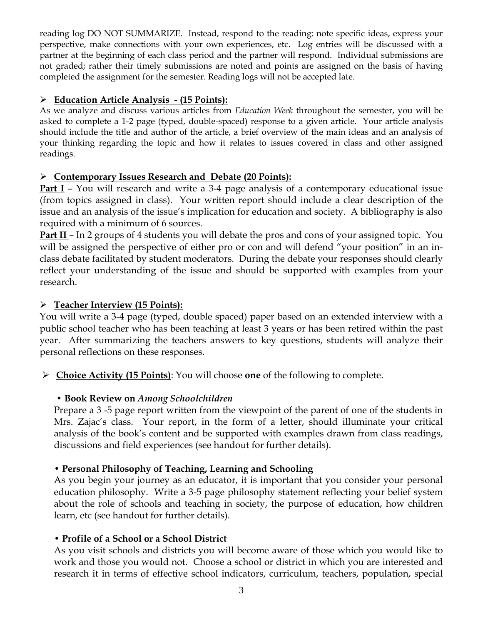reading log DO NOT SUMMARIZE. Instead, respond to the reading: note specific ideas, express your perspective, make connections with your own experiences, etc. Log entries will be discussed with a partner at the beginning of each class period and the partner will respond. Individual submissions are not graded; rather their timely submissions are noted and points are assigned on the basis of having completed the assignment for the semester. Reading logs will not be accepted late.

#### **Education Article Analysis - (15 Points):**

As we analyze and discuss various articles from *Education Week* throughout the semester, you will be asked to complete a 1-2 page (typed, double-spaced) response to a given article. Your article analysis should include the title and author of the article, a brief overview of the main ideas and an analysis of your thinking regarding the topic and how it relates to issues covered in class and other assigned readings.

#### **Contemporary Issues Research and Debate (20 Points):**

**Part I** – You will research and write a 3-4 page analysis of a contemporary educational issue (from topics assigned in class). Your written report should include a clear description of the issue and an analysis of the issue's implication for education and society. A bibliography is also required with a minimum of 6 sources.

**Part II** – In 2 groups of 4 students you will debate the pros and cons of your assigned topic. You will be assigned the perspective of either pro or con and will defend "your position" in an inclass debate facilitated by student moderators. During the debate your responses should clearly reflect your understanding of the issue and should be supported with examples from your research.

#### **Teacher Interview (15 Points):**

You will write a 3-4 page (typed, double spaced) paper based on an extended interview with a public school teacher who has been teaching at least 3 years or has been retired within the past year. After summarizing the teachers answers to key questions, students will analyze their personal reflections on these responses.

**Choice Activity (15 Points)**: You will choose **one** of the following to complete.

### **• Book Review on** *Among Schoolchildren*

Prepare a 3 -5 page report written from the viewpoint of the parent of one of the students in Mrs. Zajac's class. Your report, in the form of a letter, should illuminate your critical analysis of the book's content and be supported with examples drawn from class readings, discussions and field experiences (see handout for further details).

### **• Personal Philosophy of Teaching, Learning and Schooling**

As you begin your journey as an educator, it is important that you consider your personal education philosophy. Write a 3-5 page philosophy statement reflecting your belief system about the role of schools and teaching in society, the purpose of education, how children learn, etc (see handout for further details).

#### **• Profile of a School or a School District**

As you visit schools and districts you will become aware of those which you would like to work and those you would not. Choose a school or district in which you are interested and research it in terms of effective school indicators, curriculum, teachers, population, special